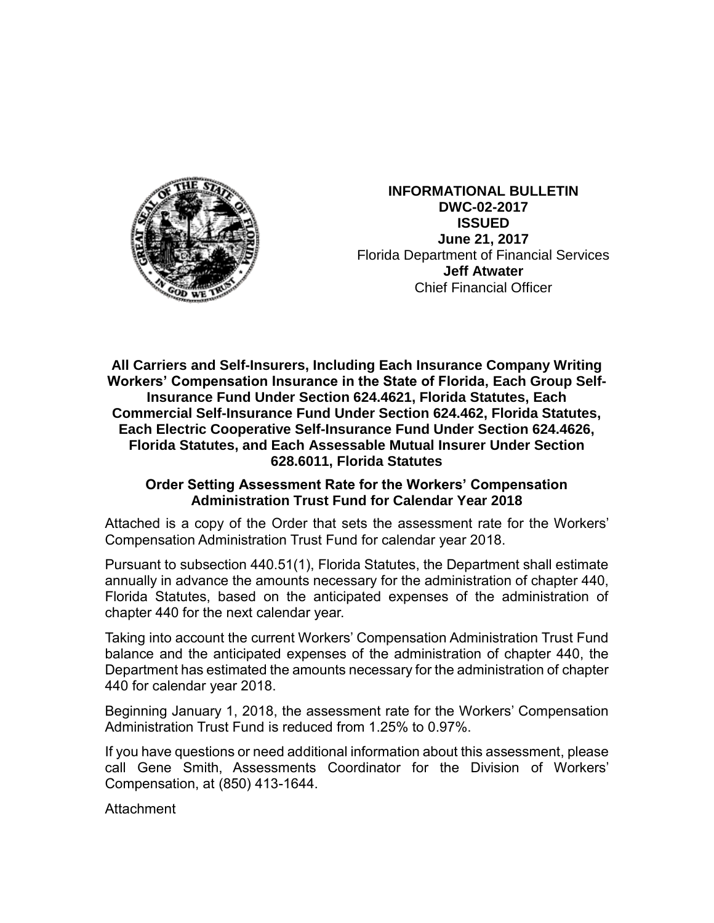

**INFORMATIONAL BULLETIN DWC-02-2017 ISSUED June 21, 2017** Florida Department of Financial Services **Jeff Atwater** Chief Financial Officer

**All Carriers and Self-Insurers, Including Each Insurance Company Writing Workers' Compensation Insurance in the State of Florida, Each Group Self-Insurance Fund Under Section 624.4621, Florida Statutes, Each Commercial Self-Insurance Fund Under Section 624.462, Florida Statutes, Each Electric Cooperative Self-Insurance Fund Under Section 624.4626, Florida Statutes, and Each Assessable Mutual Insurer Under Section 628.6011, Florida Statutes**

## **Order Setting Assessment Rate for the Workers' Compensation Administration Trust Fund for Calendar Year 2018**

Attached is a copy of the Order that sets the assessment rate for the Workers' Compensation Administration Trust Fund for calendar year 2018.

Pursuant to subsection 440.51(1), Florida Statutes, the Department shall estimate annually in advance the amounts necessary for the administration of chapter 440, Florida Statutes, based on the anticipated expenses of the administration of chapter 440 for the next calendar year.

Taking into account the current Workers' Compensation Administration Trust Fund balance and the anticipated expenses of the administration of chapter 440, the Department has estimated the amounts necessary for the administration of chapter 440 for calendar year 2018.

Beginning January 1, 2018, the assessment rate for the Workers' Compensation Administration Trust Fund is reduced from 1.25% to 0.97%.

If you have questions or need additional information about this assessment, please call Gene Smith, Assessments Coordinator for the Division of Workers' Compensation, at (850) 413-1644.

Attachment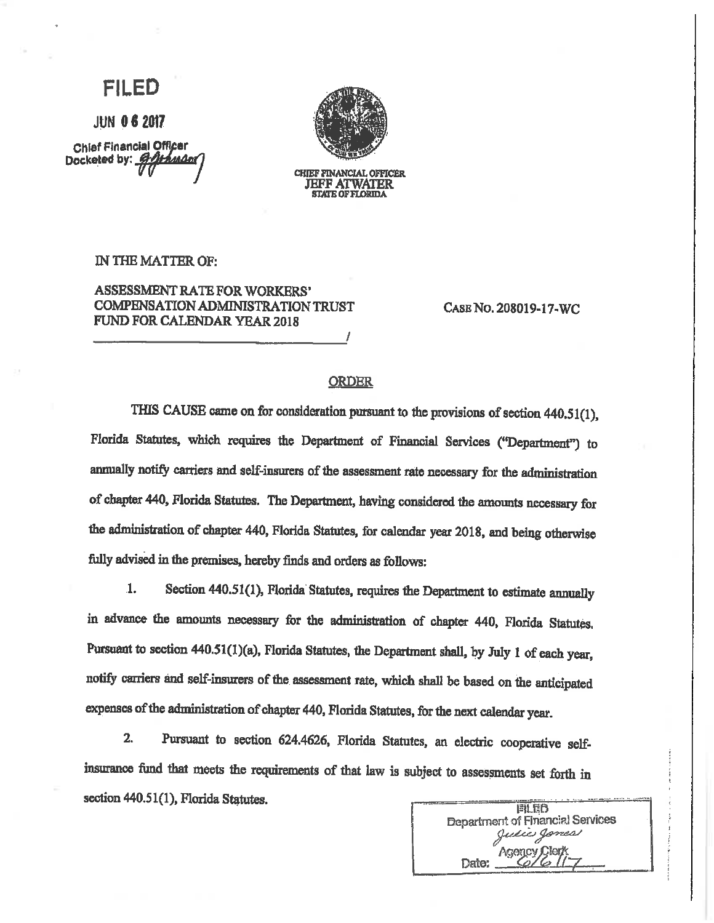## EILED

**JUN 06 2017** 

**Chief Financial Officer** Docketed by: **G-Othman** 



**CHIEF FINANCIAL OFFICER JEFF ATWATER STATE OF FLORIDA** 

IN THE MATTER OF:

**ASSESSMENT RATE FOR WORKERS'** COMPENSATION ADMINISTRATION TRUST FUND FOR CALENDAR YEAR 2018

CASE NO. 208019-17-WC

## **ORDER**

THIS CAUSE came on for consideration pursuant to the provisions of section 440.51(1). Florida Statutes, which requires the Department of Financial Services ("Department") to annually notify carriers and self-insurers of the assessment rate necessary for the administration of chapter 440, Florida Statutes. The Department, having considered the amounts necessary for the administration of chapter 440, Florida Statutes, for calendar year 2018, and being otherwise fully advised in the premises, hereby finds and orders as follows:

Section 440.51(1), Florida Statutes, requires the Department to estimate annually  $\mathbf{1}$ . in advance the amounts necessary for the administration of chapter 440, Florida Statutes, Pursuant to section 440.51(1)(a), Florida Statutes, the Department shall, by July 1 of each year, notify carriers and self-insurers of the assessment rate, which shall be based on the anticipated expenses of the administration of chapter 440, Florida Statutes, for the next calendar year.

 $2.$ Pursuant to section 624.4626, Florida Statutes, an electric cooperative selfinsurance fund that meets the requirements of that law is subject to assessments set forth in section 440.51(1), Florida Statutes.

| FILED                                   |
|-----------------------------------------|
| <b>Department of Financial Services</b> |
| Julie Jones                             |
| <b>Agency Clerk</b>                     |
| Date:                                   |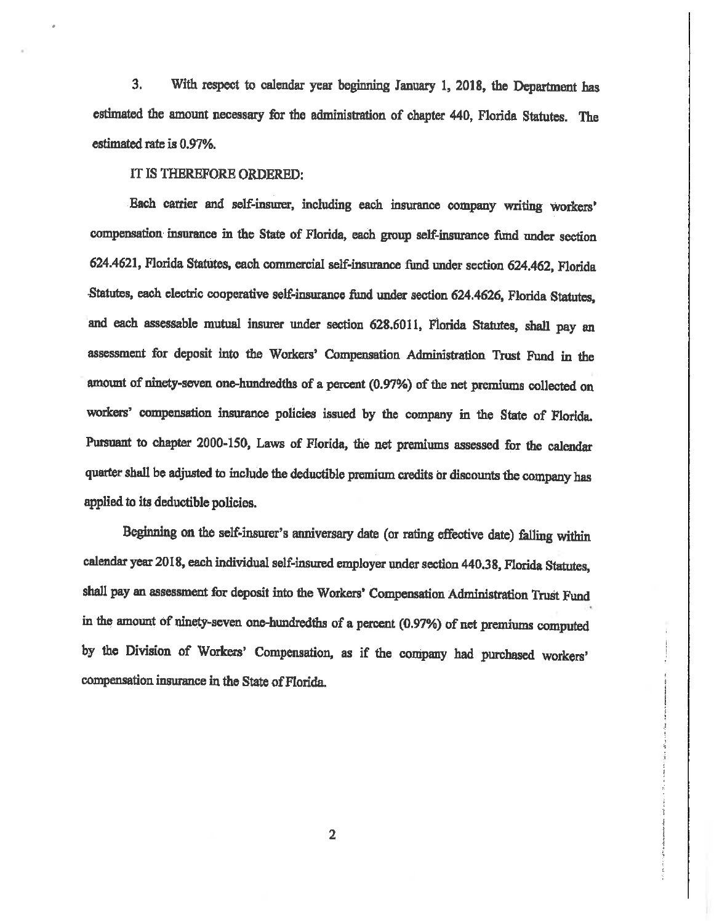$3.$ With respect to calendar year beginning January 1, 2018, the Department has estimated the amount necessary for the administration of chapter 440, Florida Statutes. The estimated rate is 0.97%.

IT IS THEREFORE ORDERED:

Each carrier and self-insurer, including each insurance company writing workers' compensation insurance in the State of Florida, each group self-insurance fund under section 624.4621, Florida Statutes, each commercial self-insurance fund under section 624.462, Florida Statutes, each electric cooperative self-insurance fund under section 624.4626, Florida Statutes, and each assessable mutual insurer under section 628.6011, Florida Statutes, shall pay an assessment for deposit into the Workers' Compensation Administration Trust Fund in the amount of ninety-seven one-hundredths of a percent (0.97%) of the net premiums collected on workers' compensation insurance policies issued by the company in the State of Florida. Pursuant to chapter 2000-150, Laws of Florida, the net premiums assessed for the calendar quarter shall be adjusted to include the deductible premium credits or discounts the company has applied to its deductible policies.

Beginning on the self-insurer's anniversary date (or rating effective date) falling within calendar year 2018, each individual self-insured employer under section 440.38, Florida Statutes, shall pay an assessment for deposit into the Workers' Compensation Administration Trust Fund in the amount of ninety-seven one-hundredths of a percent (0.97%) of net premiums computed by the Division of Workers' Compensation, as if the company had purchased workers' compensation insurance in the State of Florida.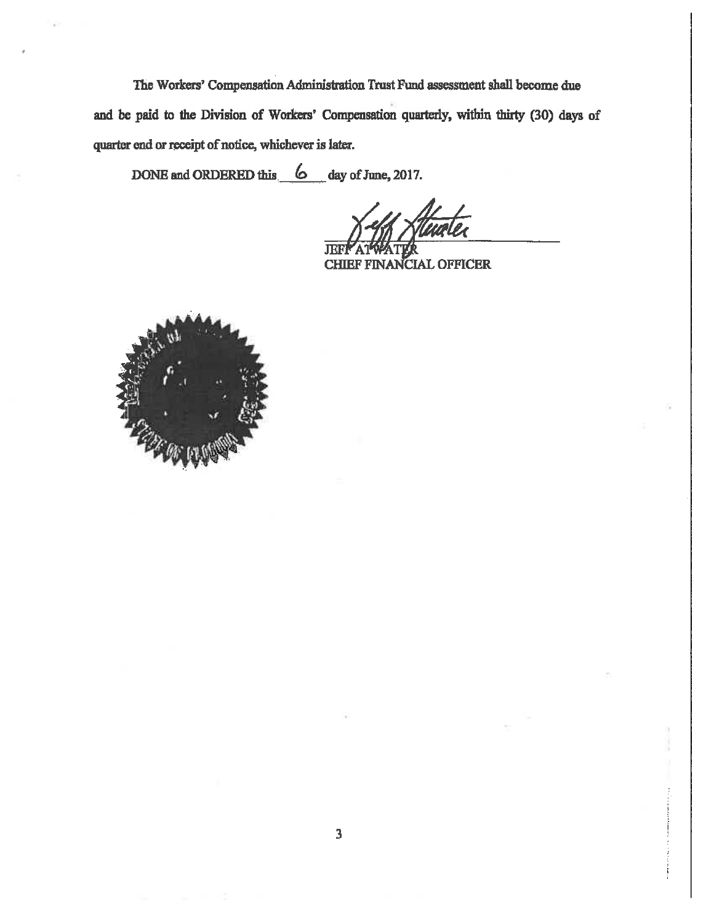The Workers' Compensation Administration Trust Fund assessment shall become due and be paid to the Division of Workers' Compensation quarterly, within thirty (30) days of quarter end or receipt of notice, whichever is later.

DONE and ORDERED this 6 day of June, 2017.

Л CHIEF FINANCIAL OFFICER